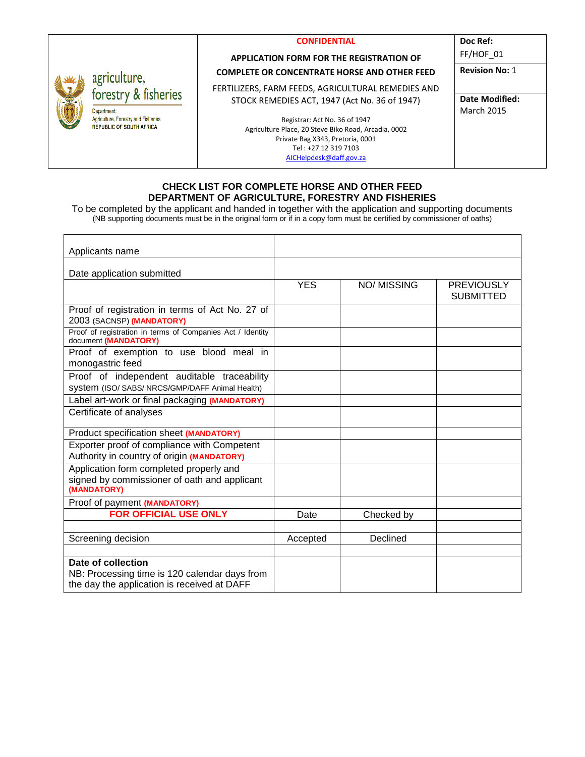|                                    | <b>CONFIDENTIAL</b>                                  | Doc Ref:              |
|------------------------------------|------------------------------------------------------|-----------------------|
|                                    | <b>APPLICATION FORM FOR THE REGISTRATION OF</b>      | FF/HOF 01             |
| griculture,                        | <b>COMPLETE OR CONCENTRATE HORSE AND OTHER FEED</b>  | <b>Revision No: 1</b> |
| orestry & fisheries                | FERTILIZERS, FARM FEEDS, AGRICULTURAL REMEDIES AND   |                       |
|                                    | STOCK REMEDIES ACT, 1947 (Act No. 36 of 1947)        | <b>Date Modified:</b> |
| epartment                          |                                                      | <b>March 2015</b>     |
| griculture, Forestry and Fisheries | Registrar: Act No. 36 of 1947                        |                       |
| <b>EPUBLIC OF SOUTH AFRICA</b>     | Agriculture Place, 20 Steve Biko Road, Arcadia, 0002 |                       |
|                                    | Private Bag X343, Pretoria, 0001                     |                       |
|                                    | Tel: +27 12 319 7103                                 |                       |
|                                    | AICHelpdesk@daff.gov.za                              |                       |

#### **CHECK LIST FOR COMPLETE HORSE AND OTHER FEED DEPARTMENT OF AGRICULTURE, FORESTRY AND FISHERIES**

To be completed by the applicant and handed in together with the application and supporting documents (NB supporting documents must be in the original form or if in a copy form must be certified by commissioner of oaths)

| Applicants name                                                                                                    |            |                   |                                       |
|--------------------------------------------------------------------------------------------------------------------|------------|-------------------|---------------------------------------|
| Date application submitted                                                                                         |            |                   |                                       |
|                                                                                                                    | <b>YES</b> | <b>NO/MISSING</b> | <b>PREVIOUSLY</b><br><b>SUBMITTED</b> |
| Proof of registration in terms of Act No. 27 of<br>2003 (SACNSP) (MANDATORY)                                       |            |                   |                                       |
| Proof of registration in terms of Companies Act / Identity<br>document (MANDATORY)                                 |            |                   |                                       |
| Proof of exemption to use blood meal in<br>monogastric feed                                                        |            |                   |                                       |
| Proof of independent auditable traceability<br>System (ISO/ SABS/ NRCS/GMP/DAFF Animal Health)                     |            |                   |                                       |
| Label art-work or final packaging (MANDATORY)                                                                      |            |                   |                                       |
| Certificate of analyses                                                                                            |            |                   |                                       |
| Product specification sheet (MANDATORY)                                                                            |            |                   |                                       |
| Exporter proof of compliance with Competent<br>Authority in country of origin (MANDATORY)                          |            |                   |                                       |
| Application form completed properly and<br>signed by commissioner of oath and applicant<br>(MANDATORY)             |            |                   |                                       |
| Proof of payment (MANDATORY)                                                                                       |            |                   |                                       |
| <b>FOR OFFICIAL USE ONLY</b>                                                                                       | Date       | Checked by        |                                       |
|                                                                                                                    |            |                   |                                       |
| Screening decision                                                                                                 | Accepted   | Declined          |                                       |
|                                                                                                                    |            |                   |                                       |
| Date of collection<br>NB: Processing time is 120 calendar days from<br>the day the application is received at DAFF |            |                   |                                       |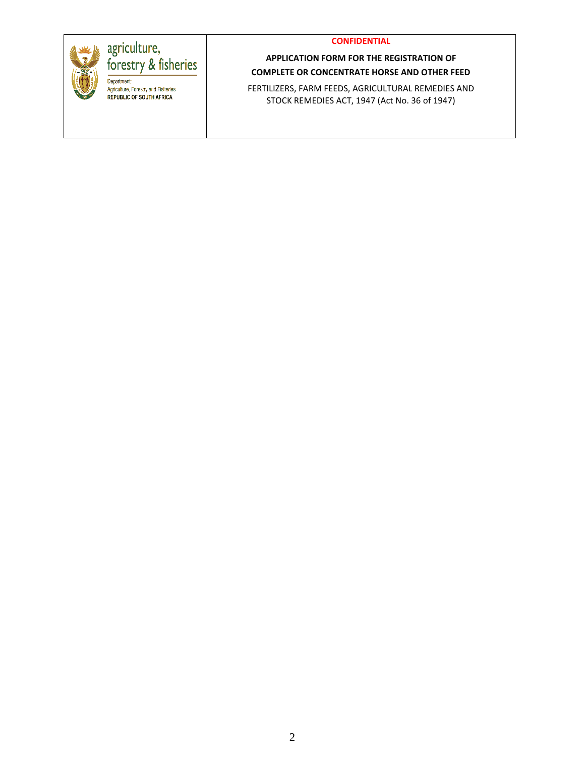

# agriculture,<br>forestry & fisheries Department

Agriculture, Forestry and Fisheries REPUBLIC OF SOUTH AFRICA

# **APPLICATION FORM FOR THE REGISTRATION OF COMPLETE OR CONCENTRATE HORSE AND OTHER FEED**

FERTILIZERS, FARM FEEDS, AGRICULTURAL REMEDIES AND STOCK REMEDIES ACT, 1947 (Act No. 36 of 1947)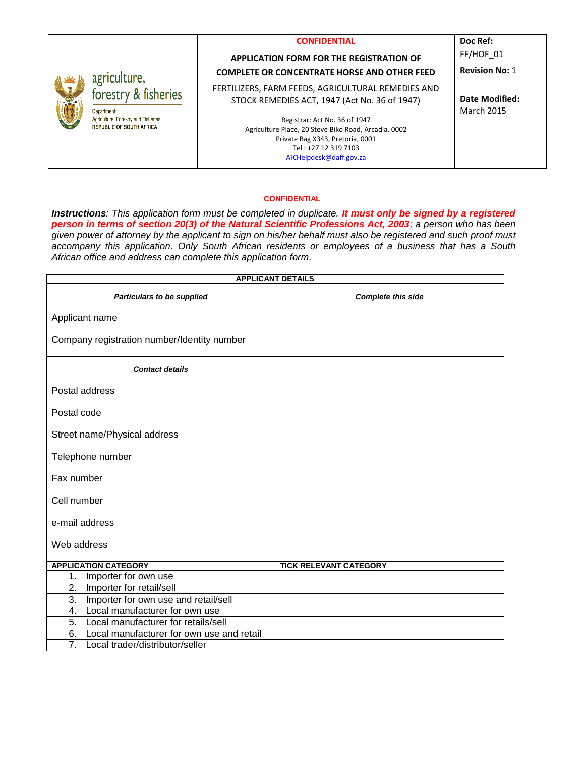|                                            |                                                    | <b>CONFIDENTIAL</b><br><b>APPLICATION FORM FOR THE REGISTRATION OF</b> | Doc Ref:<br>FF/HOF 01 |
|--------------------------------------------|----------------------------------------------------|------------------------------------------------------------------------|-----------------------|
|                                            |                                                    | <b>COMPLETE OR CONCENTRATE HORSE AND OTHER FEED</b>                    | <b>Revision No: 1</b> |
| agriculture,<br>forestry & fisheries<br>文学 | FERTILIZERS, FARM FEEDS, AGRICULTURAL REMEDIES AND |                                                                        |                       |
|                                            | STOCK REMEDIES ACT, 1947 (Act No. 36 of 1947)      | Date Modified:                                                         |                       |
|                                            | Department                                         |                                                                        | <b>March 2015</b>     |
| <b>REPUBLIC OF SOUTH AFRICA</b>            | Agriculture, Forestry and Fisheries                | Registrar: Act No. 36 of 1947                                          |                       |
|                                            |                                                    | Agriculture Place, 20 Steve Biko Road, Arcadia, 0002                   |                       |
|                                            |                                                    | Private Bag X343, Pretoria, 0001<br>Tel: +27 12 319 7103               |                       |
|                                            |                                                    | AICHelpdesk@daff.gov.za                                                |                       |

*Instructions: This application form must be completed in duplicate. It must only be signed by a registered person in terms of section 20(3) of the Natural Scientific Professions Act, 2003; a person who has been given power of attorney by the applicant to sign on his/her behalf must also be registered and such proof must accompany this application. Only South African residents or employees of a business that has a South African office and address can complete this application form.* 

| <b>APPLICANT DETAILS</b>                            |                               |  |  |
|-----------------------------------------------------|-------------------------------|--|--|
| Particulars to be supplied                          | <b>Complete this side</b>     |  |  |
| Applicant name                                      |                               |  |  |
| Company registration number/Identity number         |                               |  |  |
| <b>Contact details</b>                              |                               |  |  |
| Postal address                                      |                               |  |  |
| Postal code                                         |                               |  |  |
| Street name/Physical address                        |                               |  |  |
| Telephone number                                    |                               |  |  |
| Fax number                                          |                               |  |  |
| Cell number                                         |                               |  |  |
| e-mail address                                      |                               |  |  |
| Web address                                         |                               |  |  |
| <b>APPLICATION CATEGORY</b>                         | <b>TICK RELEVANT CATEGORY</b> |  |  |
| Importer for own use<br>1.                          |                               |  |  |
| 2.<br>Importer for retail/sell                      |                               |  |  |
| 3.<br>Importer for own use and retail/sell          |                               |  |  |
| Local manufacturer for own use<br>4.                |                               |  |  |
| Local manufacturer for retails/sell<br>5.           |                               |  |  |
| Local manufacturer for own use and retail<br>6.     |                               |  |  |
| $\overline{7}$ .<br>Local trader/distributor/seller |                               |  |  |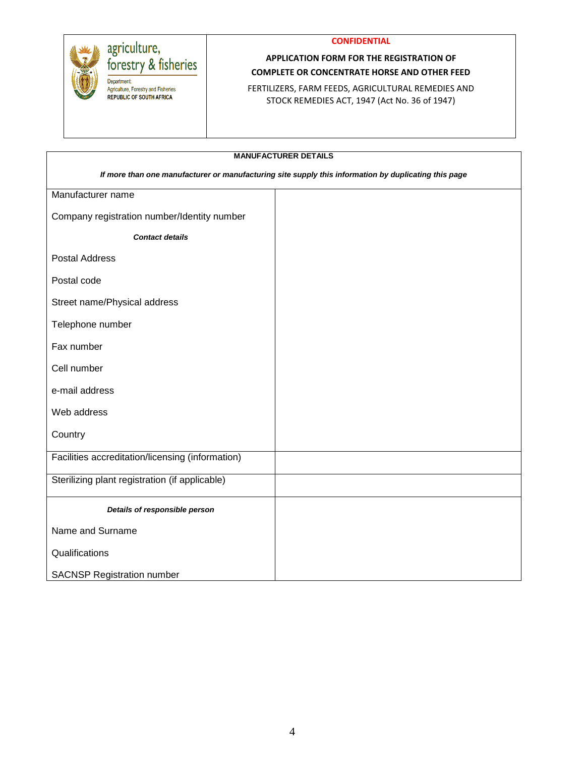



# agriculture,<br>forestry & fisheries

Department Agriculture, Forestry and Fisheries REPUBLIC OF SOUTH AFRICA

#### **APPLICATION FORM FOR THE REGISTRATION OF COMPLETE OR CONCENTRATE HORSE AND OTHER FEED**

FERTILIZERS, FARM FEEDS, AGRICULTURAL REMEDIES AND STOCK REMEDIES ACT, 1947 (Act No. 36 of 1947)

| <b>MANUFACTURER DETAILS</b>                                                                          |  |  |  |
|------------------------------------------------------------------------------------------------------|--|--|--|
| If more than one manufacturer or manufacturing site supply this information by duplicating this page |  |  |  |
| Manufacturer name                                                                                    |  |  |  |
| Company registration number/Identity number                                                          |  |  |  |
| <b>Contact details</b>                                                                               |  |  |  |
| <b>Postal Address</b>                                                                                |  |  |  |
| Postal code                                                                                          |  |  |  |
| Street name/Physical address                                                                         |  |  |  |
| Telephone number                                                                                     |  |  |  |
| Fax number                                                                                           |  |  |  |
| Cell number                                                                                          |  |  |  |
| e-mail address                                                                                       |  |  |  |
| Web address                                                                                          |  |  |  |
| Country                                                                                              |  |  |  |
| Facilities accreditation/licensing (information)                                                     |  |  |  |
| Sterilizing plant registration (if applicable)                                                       |  |  |  |
| Details of responsible person                                                                        |  |  |  |
| Name and Surname                                                                                     |  |  |  |
| Qualifications                                                                                       |  |  |  |
| <b>SACNSP Registration number</b>                                                                    |  |  |  |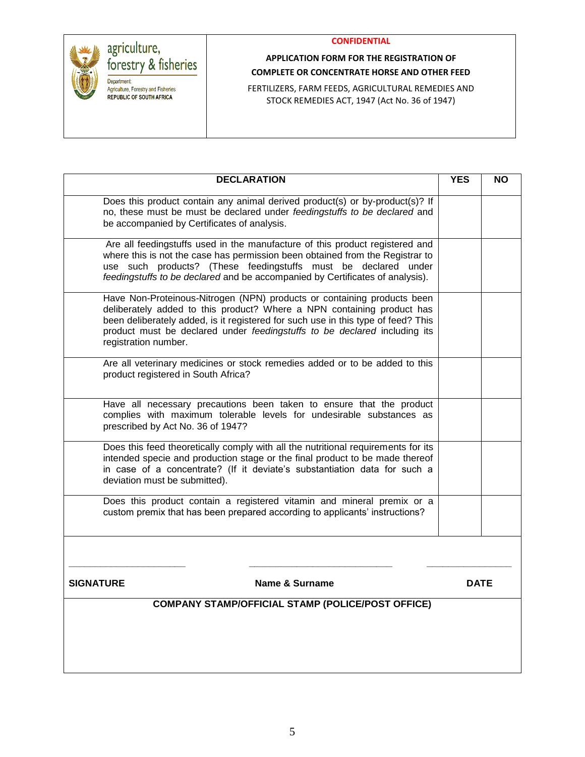

# **APPLICATION FORM FOR THE REGISTRATION OF COMPLETE OR CONCENTRATE HORSE AND OTHER FEED**

FERTILIZERS, FARM FEEDS, AGRICULTURAL REMEDIES AND STOCK REMEDIES ACT, 1947 (Act No. 36 of 1947)

| <b>DECLARATION</b>                                                                                                                                                                                                                                                                                                                          | <b>YES</b> | <b>NO</b>   |
|---------------------------------------------------------------------------------------------------------------------------------------------------------------------------------------------------------------------------------------------------------------------------------------------------------------------------------------------|------------|-------------|
| Does this product contain any animal derived product(s) or by-product(s)? If<br>no, these must be must be declared under feedingstuffs to be declared and<br>be accompanied by Certificates of analysis.                                                                                                                                    |            |             |
| Are all feedingstuffs used in the manufacture of this product registered and<br>where this is not the case has permission been obtained from the Registrar to<br>use such products? (These feedingstuffs must be declared under<br>feedingstuffs to be declared and be accompanied by Certificates of analysis).                            |            |             |
| Have Non-Proteinous-Nitrogen (NPN) products or containing products been<br>deliberately added to this product? Where a NPN containing product has<br>been deliberately added, is it registered for such use in this type of feed? This<br>product must be declared under feedingstuffs to be declared including its<br>registration number. |            |             |
| Are all veterinary medicines or stock remedies added or to be added to this<br>product registered in South Africa?                                                                                                                                                                                                                          |            |             |
| Have all necessary precautions been taken to ensure that the product<br>complies with maximum tolerable levels for undesirable substances as<br>prescribed by Act No. 36 of 1947?                                                                                                                                                           |            |             |
| Does this feed theoretically comply with all the nutritional requirements for its<br>intended specie and production stage or the final product to be made thereof<br>in case of a concentrate? (If it deviate's substantiation data for such a<br>deviation must be submitted).                                                             |            |             |
| Does this product contain a registered vitamin and mineral premix or a<br>custom premix that has been prepared according to applicants' instructions?                                                                                                                                                                                       |            |             |
|                                                                                                                                                                                                                                                                                                                                             |            |             |
| <b>SIGNATURE</b><br><b>Name &amp; Surname</b>                                                                                                                                                                                                                                                                                               |            | <b>DATE</b> |
| <b>COMPANY STAMP/OFFICIAL STAMP (POLICE/POST OFFICE)</b>                                                                                                                                                                                                                                                                                    |            |             |
|                                                                                                                                                                                                                                                                                                                                             |            |             |
|                                                                                                                                                                                                                                                                                                                                             |            |             |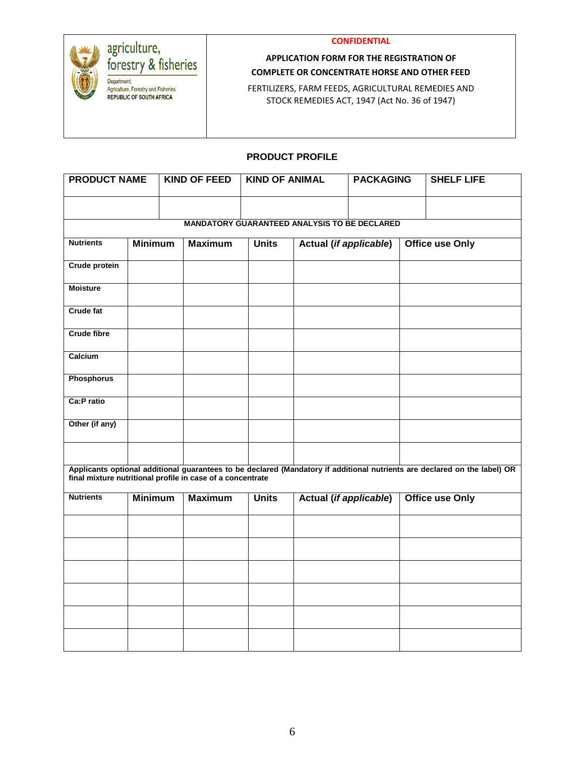



# agriculture,<br>forestry & fisheries

Department Agriculture, Forestry and Fisheries REPUBLIC OF SOUTH AFRICA

# **APPLICATION FORM FOR THE REGISTRATION OF COMPLETE OR CONCENTRATE HORSE AND OTHER FEED**

FERTILIZERS, FARM FEEDS, AGRICULTURAL REMEDIES AND STOCK REMEDIES ACT, 1947 (Act No. 36 of 1947)

#### **PRODUCT PROFILE**

| <b>PRODUCT NAME</b>                                        |                | <b>KIND OF FEED</b>                                 | <b>KIND OF ANIMAL</b> |                        | <b>PACKAGING</b>                          |  | <b>SHELF LIFE</b>                                                                                                         |
|------------------------------------------------------------|----------------|-----------------------------------------------------|-----------------------|------------------------|-------------------------------------------|--|---------------------------------------------------------------------------------------------------------------------------|
|                                                            |                |                                                     |                       |                        |                                           |  |                                                                                                                           |
|                                                            |                | <b>MANDATORY GUARANTEED ANALYSIS TO BE DECLARED</b> |                       |                        |                                           |  |                                                                                                                           |
| <b>Nutrients</b>                                           | <b>Minimum</b> | <b>Maximum</b>                                      | <b>Units</b>          |                        | Actual (if applicable)<br>Office use Only |  |                                                                                                                           |
| <b>Crude protein</b>                                       |                |                                                     |                       |                        |                                           |  |                                                                                                                           |
| <b>Moisture</b>                                            |                |                                                     |                       |                        |                                           |  |                                                                                                                           |
| <b>Crude fat</b>                                           |                |                                                     |                       |                        |                                           |  |                                                                                                                           |
| <b>Crude fibre</b>                                         |                |                                                     |                       |                        |                                           |  |                                                                                                                           |
| Calcium                                                    |                |                                                     |                       |                        |                                           |  |                                                                                                                           |
| <b>Phosphorus</b>                                          |                |                                                     |                       |                        |                                           |  |                                                                                                                           |
| Ca:P ratio                                                 |                |                                                     |                       |                        |                                           |  |                                                                                                                           |
| Other (if any)                                             |                |                                                     |                       |                        |                                           |  |                                                                                                                           |
|                                                            |                |                                                     |                       |                        |                                           |  |                                                                                                                           |
| final mixture nutritional profile in case of a concentrate |                |                                                     |                       |                        |                                           |  | Applicants optional additional guarantees to be declared (Mandatory if additional nutrients are declared on the label) OR |
| <b>Nutrients</b>                                           | <b>Minimum</b> | <b>Maximum</b>                                      | <b>Units</b>          | Actual (if applicable) |                                           |  | <b>Office use Only</b>                                                                                                    |
|                                                            |                |                                                     |                       |                        |                                           |  |                                                                                                                           |
|                                                            |                |                                                     |                       |                        |                                           |  |                                                                                                                           |
|                                                            |                |                                                     |                       |                        |                                           |  |                                                                                                                           |
|                                                            |                |                                                     |                       |                        |                                           |  |                                                                                                                           |
|                                                            |                |                                                     |                       |                        |                                           |  |                                                                                                                           |
|                                                            |                |                                                     |                       |                        |                                           |  |                                                                                                                           |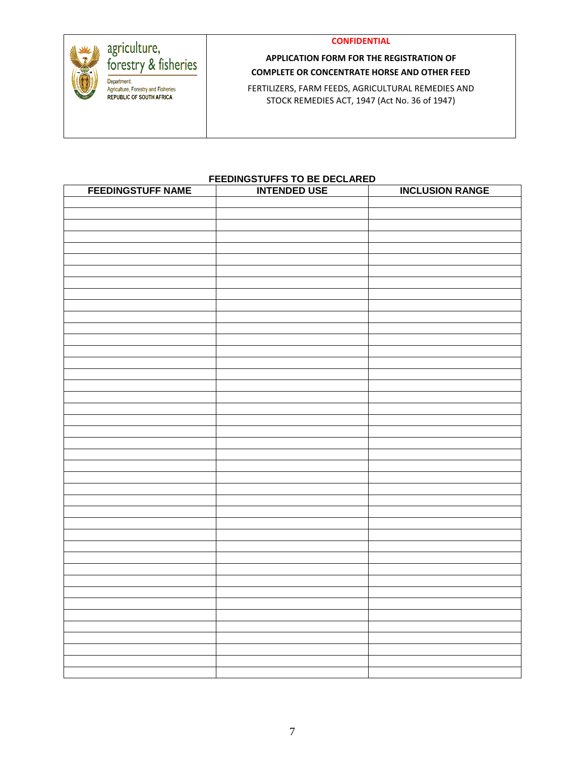

### **APPLICATION FORM FOR THE REGISTRATION OF COMPLETE OR CONCENTRATE HORSE AND OTHER FEED**

FERTILIZERS, FARM FEEDS, AGRICULTURAL REMEDIES AND STOCK REMEDIES ACT, 1947 (Act No. 36 of 1947)

#### **FEEDINGSTUFFS TO BE DECLARED**

| <b>FEEDINGSTUFF NAME</b> | <b>INTENDED USE</b> | <b>INCLUSION RANGE</b> |
|--------------------------|---------------------|------------------------|
|                          |                     |                        |
|                          |                     |                        |
|                          |                     |                        |
|                          |                     |                        |
|                          |                     |                        |
|                          |                     |                        |
|                          |                     |                        |
|                          |                     |                        |
|                          |                     |                        |
|                          |                     |                        |
|                          |                     |                        |
|                          |                     |                        |
|                          |                     |                        |
|                          |                     |                        |
|                          |                     |                        |
|                          |                     |                        |
|                          |                     |                        |
|                          |                     |                        |
|                          |                     |                        |
|                          |                     |                        |
|                          |                     |                        |
|                          |                     |                        |
|                          |                     |                        |
|                          |                     |                        |
|                          |                     |                        |
|                          |                     |                        |
|                          |                     |                        |
|                          |                     |                        |
|                          |                     |                        |
|                          |                     |                        |
|                          |                     |                        |
|                          |                     |                        |
|                          |                     |                        |
|                          |                     |                        |
|                          |                     |                        |
|                          |                     |                        |
|                          |                     |                        |
|                          |                     |                        |
|                          |                     |                        |
|                          |                     |                        |
|                          |                     |                        |
|                          |                     |                        |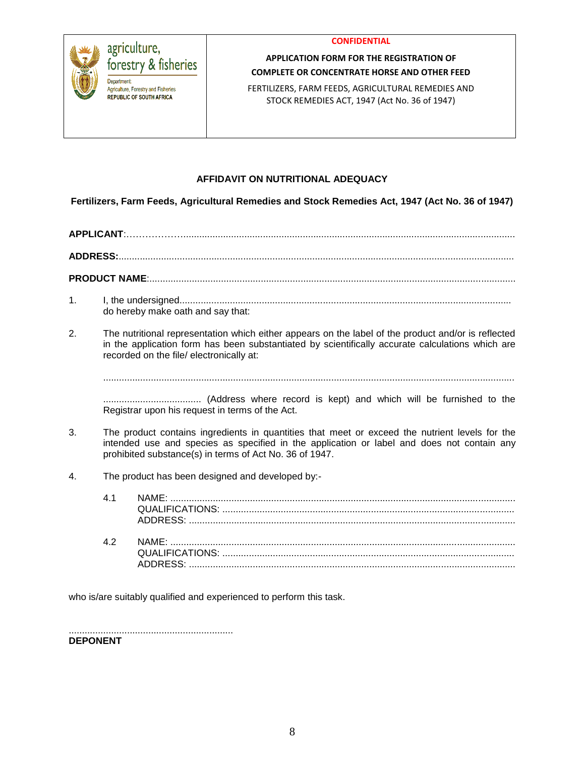

### **APPLICATION FORM FOR THE REGISTRATION OF COMPLETE OR CONCENTRATE HORSE AND OTHER FEED**

FERTILIZERS, FARM FEEDS, AGRICULTURAL REMEDIES AND STOCK REMEDIES ACT, 1947 (Act No. 36 of 1947)

#### **AFFIDAVIT ON NUTRITIONAL ADEQUACY**

**Fertilizers, Farm Feeds, Agricultural Remedies and Stock Remedies Act, 1947 (Act No. 36 of 1947)**

**APPLICANT**:……………….............................................................................................................................

**ADDRESS:**.....................................................................................................................................................

**PRODUCT NAME**:..........................................................................................................................................

- 1. I, the undersigned............................................................................................................................. do hereby make oath and say that:
- 2. The nutritional representation which either appears on the label of the product and/or is reflected in the application form has been substantiated by scientifically accurate calculations which are recorded on the file/ electronically at:

...........................................................................................................................................................

..................................... (Address where record is kept) and which will be furnished to the Registrar upon his request in terms of the Act.

- 3. The product contains ingredients in quantities that meet or exceed the nutrient levels for the intended use and species as specified in the application or label and does not contain any prohibited substance(s) in terms of Act No. 36 of 1947.
- 4. The product has been designed and developed by:-

| 41         |  |
|------------|--|
| $\Delta$ 2 |  |

who is/are suitably qualified and experienced to perform this task.

.............................................................. **DEPONENT**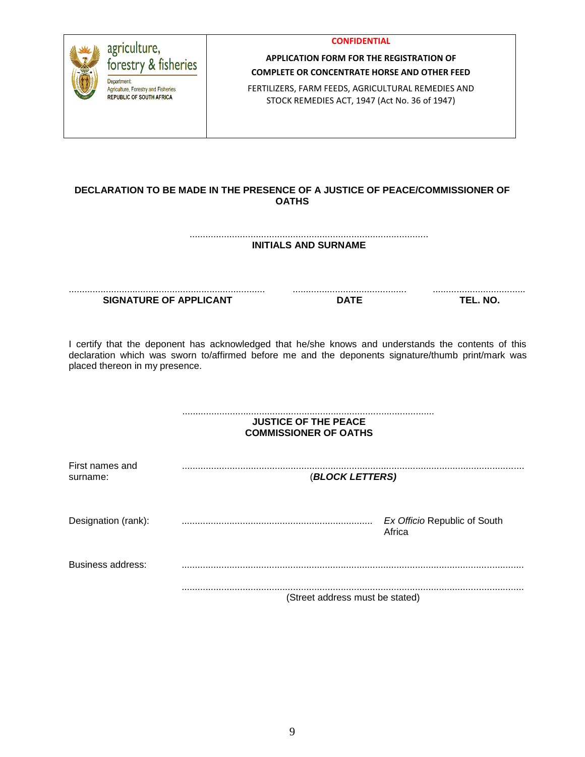| agriculture,<br>forestry & fisheries<br><b>Department:</b><br>Agriculture, Forestry and Fisheries<br><b>REPUBLIC OF SOUTH AFRICA</b> | <b>CONFIDENTIAL</b><br><b>APPLICATION FORM FOR THE REGISTRATION OF</b><br><b>COMPLETE OR CONCENTRATE HORSE AND OTHER FEED</b><br>FERTILIZERS, FARM FEEDS, AGRICULTURAL REMEDIES AND<br>STOCK REMEDIES ACT, 1947 (Act No. 36 of 1947) |                                                                                                                                                                                                           |
|--------------------------------------------------------------------------------------------------------------------------------------|--------------------------------------------------------------------------------------------------------------------------------------------------------------------------------------------------------------------------------------|-----------------------------------------------------------------------------------------------------------------------------------------------------------------------------------------------------------|
|                                                                                                                                      | <b>OATHS</b>                                                                                                                                                                                                                         | DECLARATION TO BE MADE IN THE PRESENCE OF A JUSTICE OF PEACE/COMMISSIONER OF                                                                                                                              |
|                                                                                                                                      | <b>INITIALS AND SURNAME</b>                                                                                                                                                                                                          |                                                                                                                                                                                                           |
| <b>SIGNATURE OF APPLICANT</b>                                                                                                        | <b>DATE</b>                                                                                                                                                                                                                          | TEL. NO.                                                                                                                                                                                                  |
| placed thereon in my presence.                                                                                                       |                                                                                                                                                                                                                                      | I certify that the deponent has acknowledged that he/she knows and understands the contents of this<br>declaration which was sworn to/affirmed before me and the deponents signature/thumb print/mark was |
|                                                                                                                                      | <b>JUSTICE OF THE PEACE</b><br><b>COMMISSIONER OF OATHS</b>                                                                                                                                                                          |                                                                                                                                                                                                           |
| First names and<br>surname:                                                                                                          | (BLOCK LETTERS)                                                                                                                                                                                                                      |                                                                                                                                                                                                           |
| Designation (rank):                                                                                                                  |                                                                                                                                                                                                                                      | Ex Officio Republic of South<br>Africa                                                                                                                                                                    |
| <b>Business address:</b>                                                                                                             |                                                                                                                                                                                                                                      |                                                                                                                                                                                                           |
|                                                                                                                                      | (Street address must be stated)                                                                                                                                                                                                      |                                                                                                                                                                                                           |